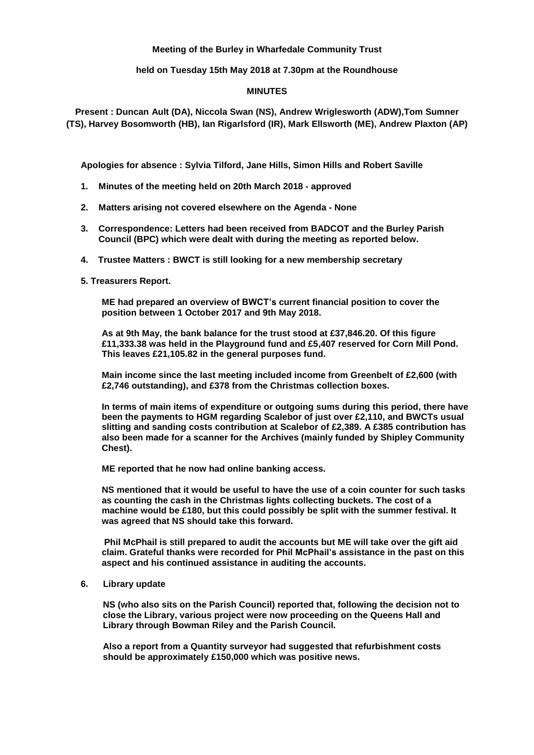## **Meeting of the Burley in Wharfedale Community Trust**

**held on Tuesday 15th May 2018 at 7.30pm at the Roundhouse**

### **MINUTES**

**Present : Duncan Ault (DA), Niccola Swan (NS), Andrew Wriglesworth (ADW),Tom Sumner (TS), Harvey Bosomworth (HB), Ian Rigarlsford (IR), Mark Ellsworth (ME), Andrew Plaxton (AP)**

**Apologies for absence : Sylvia Tilford, Jane Hills, Simon Hills and Robert Saville**

- **1. Minutes of the meeting held on 20th March 2018 - approved**
- **2. Matters arising not covered elsewhere on the Agenda - None**
- **3. Correspondence: Letters had been received from BADCOT and the Burley Parish Council (BPC) which were dealt with during the meeting as reported below.**
- **4. Trustee Matters : BWCT is still looking for a new membership secretary**
- **5. Treasurers Report.**

**ME had prepared an overview of BWCT's current financial position to cover the position between 1 October 2017 and 9th May 2018.**

**As at 9th May, the bank balance for the trust stood at £37,846.20. Of this figure £11,333.38 was held in the Playground fund and £5,407 reserved for Corn Mill Pond. This leaves £21,105.82 in the general purposes fund.**

**Main income since the last meeting included income from Greenbelt of £2,600 (with £2,746 outstanding), and £378 from the Christmas collection boxes.**

**In terms of main items of expenditure or outgoing sums during this period, there have been the payments to HGM regarding Scalebor of just over £2,110, and BWCTs usual slitting and sanding costs contribution at Scalebor of £2,389. A £385 contribution has also been made for a scanner for the Archives (mainly funded by Shipley Community Chest).**

**ME reported that he now had online banking access.**

**NS mentioned that it would be useful to have the use of a coin counter for such tasks as counting the cash in the Christmas lights collecting buckets. The cost of a machine would be £180, but this could possibly be split with the summer festival. It was agreed that NS should take this forward.**

**Phil McPhail is still prepared to audit the accounts but ME will take over the gift aid claim. Grateful thanks were recorded for Phil McPhail's assistance in the past on this aspect and his continued assistance in auditing the accounts.**

## **6. Library update**

**NS (who also sits on the Parish Council) reported that, following the decision not to close the Library, various project were now proceeding on the Queens Hall and Library through Bowman Riley and the Parish Council.**

**Also a report from a Quantity surveyor had suggested that refurbishment costs should be approximately £150,000 which was positive news.**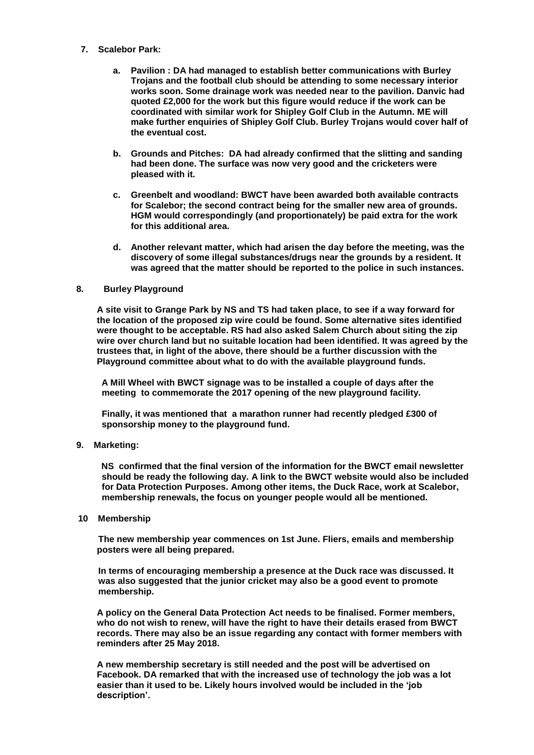- **7. Scalebor Park:**
	- **a. Pavilion : DA had managed to establish better communications with Burley Trojans and the football club should be attending to some necessary interior works soon. Some drainage work was needed near to the pavilion. Danvic had quoted £2,000 for the work but this figure would reduce if the work can be coordinated with similar work for Shipley Golf Club in the Autumn. ME will make further enquiries of Shipley Golf Club. Burley Trojans would cover half of the eventual cost.**
	- **b. Grounds and Pitches: DA had already confirmed that the slitting and sanding had been done. The surface was now very good and the cricketers were pleased with it.**
	- **c. Greenbelt and woodland: BWCT have been awarded both available contracts for Scalebor; the second contract being for the smaller new area of grounds. HGM would correspondingly (and proportionately) be paid extra for the work for this additional area.**
	- **d. Another relevant matter, which had arisen the day before the meeting, was the discovery of some illegal substances/drugs near the grounds by a resident. It was agreed that the matter should be reported to the police in such instances.**

# **8. Burley Playground**

A site visit to Grange Park by NS and TS had taken place, to see if a way forward for **the location of the proposed zip wire could be found. Some alternative sites identified were thought to be acceptable. RS had also asked Salem Church about siting the zip wire over church land but no suitable location had been identified. It was agreed by the trustees that, in light of the above, there should be a further discussion with the Playground committee about what to do with the available playground funds.**

 **A Mill Wheel with BWCT signage was to be installed a couple of days after the meeting to commemorate the 2017 opening of the new playground facility.**

**Finally, it was mentioned that a marathon runner had recently pledged £300 of sponsorship money to the playground fund.**

**9. Marketing:**

 **NS confirmed that the final version of the information for the BWCT email newsletter should be ready the following day. A link to the BWCT website would also be included for Data Protection Purposes. Among other items, the Duck Race, work at Scalebor, membership renewals, the focus on younger people would all be mentioned.**

**10 Membership**

**The new membership year commences on 1st June. Fliers, emails and membership posters were all being prepared.**

**In terms of encouraging membership a presence at the Duck race was discussed. It was also suggested that the junior cricket may also be a good event to promote membership.**

**A policy on the General Data Protection Act needs to be finalised. Former members, who do not wish to renew, will have the right to have their details erased from BWCT records. There may also be an issue regarding any contact with former members with reminders after 25 May 2018.**

**A new membership secretary is still needed and the post will be advertised on Facebook. DA remarked that with the increased use of technology the job was a lot easier than it used to be. Likely hours involved would be included in the 'job description'.**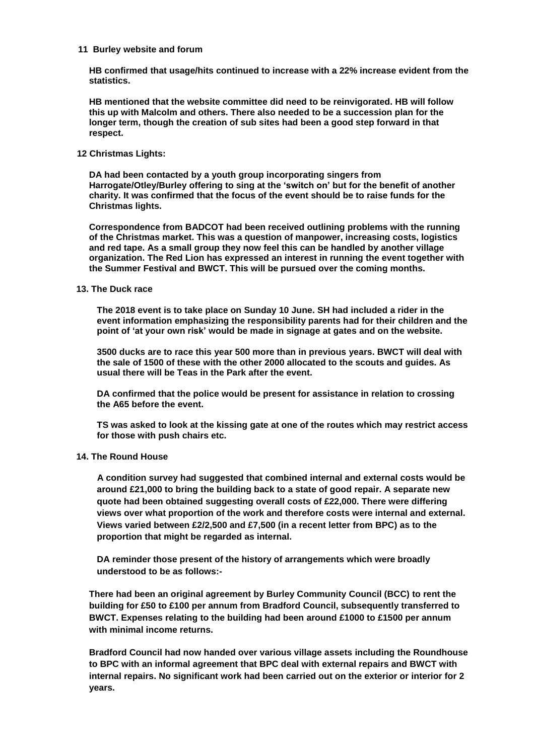#### **11 Burley website and forum**

**HB confirmed that usage/hits continued to increase with a 22% increase evident from the statistics.**

**HB mentioned that the website committee did need to be reinvigorated. HB will follow this up with Malcolm and others. There also needed to be a succession plan for the longer term, though the creation of sub sites had been a good step forward in that respect.**

### **12 Christmas Lights:**

**DA had been contacted by a youth group incorporating singers from Harrogate/Otley/Burley offering to sing at the 'switch on' but for the benefit of another charity. It was confirmed that the focus of the event should be to raise funds for the Christmas lights.** 

**Correspondence from BADCOT had been received outlining problems with the running of the Christmas market. This was a question of manpower, increasing costs, logistics and red tape. As a small group they now feel this can be handled by another village organization. The Red Lion has expressed an interest in running the event together with the Summer Festival and BWCT. This will be pursued over the coming months.**

## **13. The Duck race**

**The 2018 event is to take place on Sunday 10 June. SH had included a rider in the event information emphasizing the responsibility parents had for their children and the point of 'at your own risk' would be made in signage at gates and on the website.**

**3500 ducks are to race this year 500 more than in previous years. BWCT will deal with the sale of 1500 of these with the other 2000 allocated to the scouts and guides. As usual there will be Teas in the Park after the event.**

**DA confirmed that the police would be present for assistance in relation to crossing the A65 before the event.**

**TS was asked to look at the kissing gate at one of the routes which may restrict access for those with push chairs etc.**

# **14. The Round House**

**A condition survey had suggested that combined internal and external costs would be around £21,000 to bring the building back to a state of good repair. A separate new quote had been obtained suggesting overall costs of £22,000. There were differing views over what proportion of the work and therefore costs were internal and external. Views varied between £2/2,500 and £7,500 (in a recent letter from BPC) as to the proportion that might be regarded as internal.**

**DA reminder those present of the history of arrangements which were broadly understood to be as follows:-**

**There had been an original agreement by Burley Community Council (BCC) to rent the building for £50 to £100 per annum from Bradford Council, subsequently transferred to BWCT. Expenses relating to the building had been around £1000 to £1500 per annum with minimal income returns.**

**Bradford Council had now handed over various village assets including the Roundhouse to BPC with an informal agreement that BPC deal with external repairs and BWCT with internal repairs. No significant work had been carried out on the exterior or interior for 2 years.**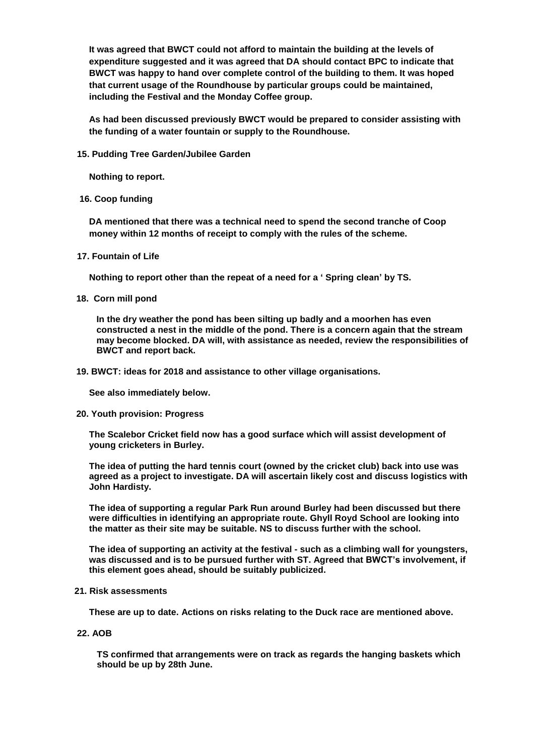**It was agreed that BWCT could not afford to maintain the building at the levels of expenditure suggested and it was agreed that DA should contact BPC to indicate that BWCT was happy to hand over complete control of the building to them. It was hoped that current usage of the Roundhouse by particular groups could be maintained, including the Festival and the Monday Coffee group.**

**As had been discussed previously BWCT would be prepared to consider assisting with the funding of a water fountain or supply to the Roundhouse.**

 **15. Pudding Tree Garden/Jubilee Garden** 

**Nothing to report.**

 **16. Coop funding**

**DA mentioned that there was a technical need to spend the second tranche of Coop money within 12 months of receipt to comply with the rules of the scheme.**

 **17. Fountain of Life**

**Nothing to report other than the repeat of a need for a ' Spring clean' by TS.**

**18. Corn mill pond**

**In the dry weather the pond has been silting up badly and a moorhen has even constructed a nest in the middle of the pond. There is a concern again that the stream may become blocked. DA will, with assistance as needed, review the responsibilities of BWCT and report back.**

**19. BWCT: ideas for 2018 and assistance to other village organisations.**

**See also immediately below.**

**20. Youth provision: Progress**

**The Scalebor Cricket field now has a good surface which will assist development of young cricketers in Burley.**

**The idea of putting the hard tennis court (owned by the cricket club) back into use was agreed as a project to investigate. DA will ascertain likely cost and discuss logistics with John Hardisty.**

**The idea of supporting a regular Park Run around Burley had been discussed but there were difficulties in identifying an appropriate route. Ghyll Royd School are looking into the matter as their site may be suitable. NS to discuss further with the school.**

**The idea of supporting an activity at the festival - such as a climbing wall for youngsters, was discussed and is to be pursued further with ST. Agreed that BWCT's involvement, if this element goes ahead, should be suitably publicized.**

 **21. Risk assessments**

**These are up to date. Actions on risks relating to the Duck race are mentioned above.**

 **22. AOB**

**TS confirmed that arrangements were on track as regards the hanging baskets which should be up by 28th June.**